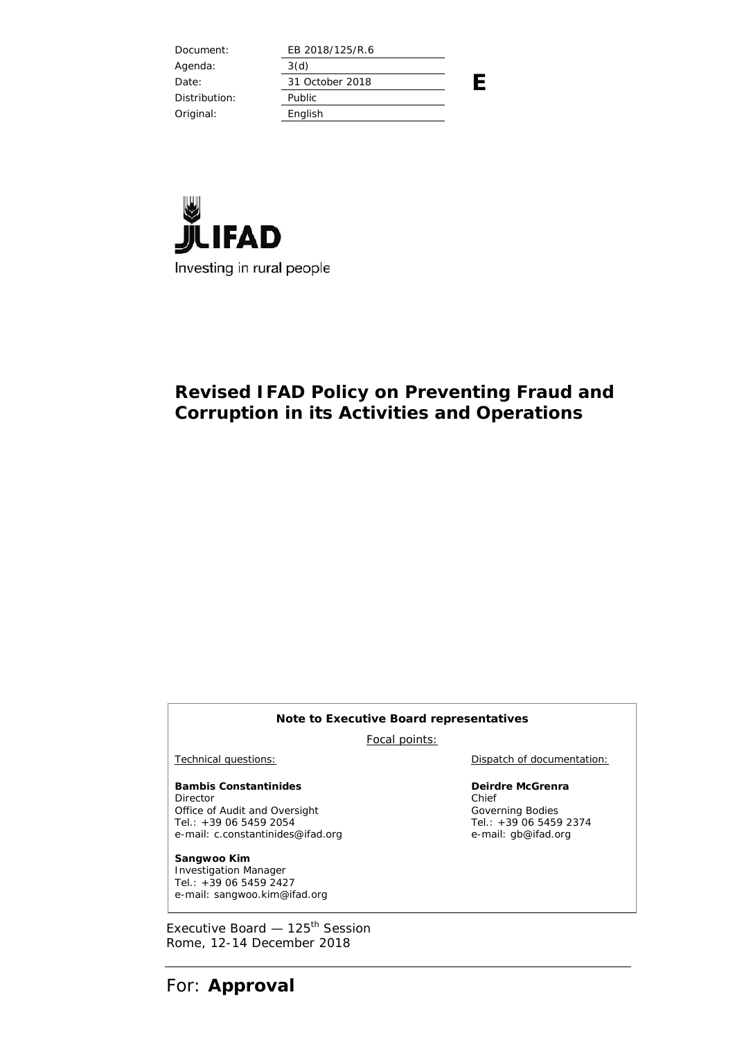| Document:     | EB 2018/125/R.6 |  |
|---------------|-----------------|--|
| Agenda:       | 3(d)            |  |
| Date:         | 31 October 2018 |  |
| Distribution: | Public          |  |
| Original:     | English         |  |
|               |                 |  |



# **Revised IFAD Policy on Preventing Fraud and Corruption in its Activities and Operations**

#### **Note to Executive Board representatives**

Focal points:

**Bambis Constantinides** Director Office of Audit and Oversight Tel.: +39 06 5459 2054 e-mail: c.constantinides@ifad.org

**Sangwoo Kim** Investigation Manager Tel.: +39 06 5459 2427 e-mail: sangwoo.kim@ifad.org

Executive Board — 125<sup>th</sup> Session Rome, 12-14 December 2018

Technical questions: Dispatch of documentation:

**Deirdre McGrenra** Chief Governing Bodies Tel.: +39 06 5459 2374 e-mail: gb@ifad.org

For: **Approval**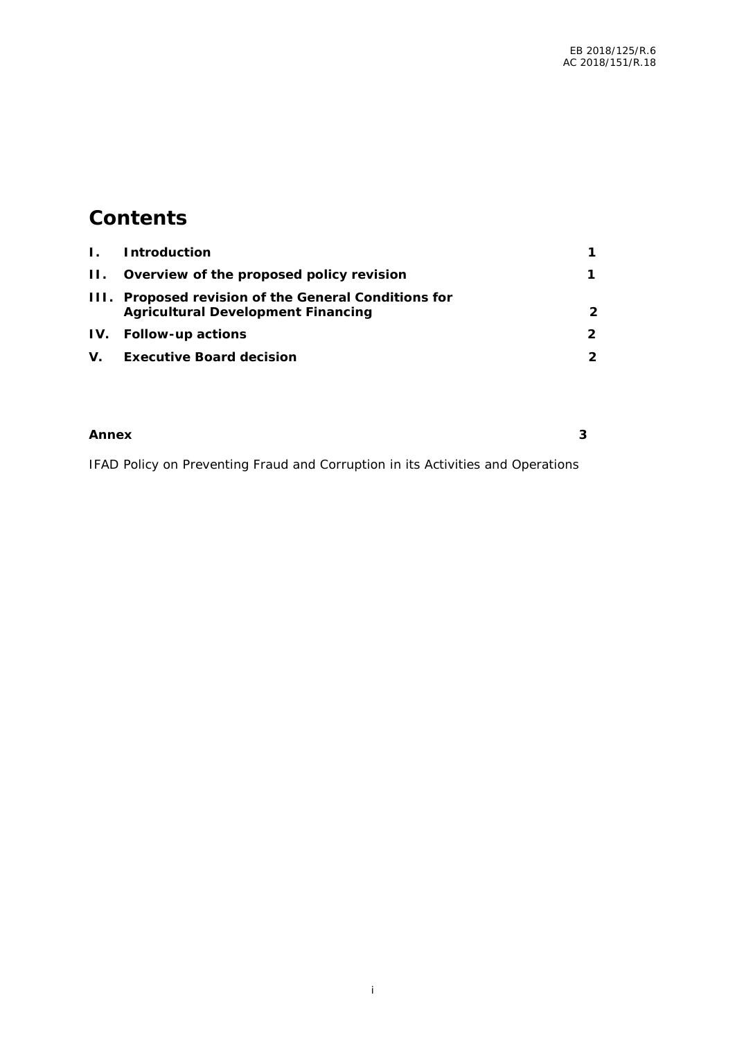# **Contents**

| $\mathbf{L}$ | <i>Introduction</i>                                                                   |   |
|--------------|---------------------------------------------------------------------------------------|---|
|              | II. Overview of the proposed policy revision                                          |   |
| 111.         | Proposed revision of the General Conditions for<br>Agricultural Development Financing | 2 |
| IV.          | Follow-up actions                                                                     |   |
| V.           | Executive Board decision                                                              |   |

| Annex | $\overline{\phantom{0}}$<br>ັ<br>$\sim$ |
|-------|-----------------------------------------|
|       |                                         |

IFAD Policy on Preventing Fraud and Corruption in its Activities and Operations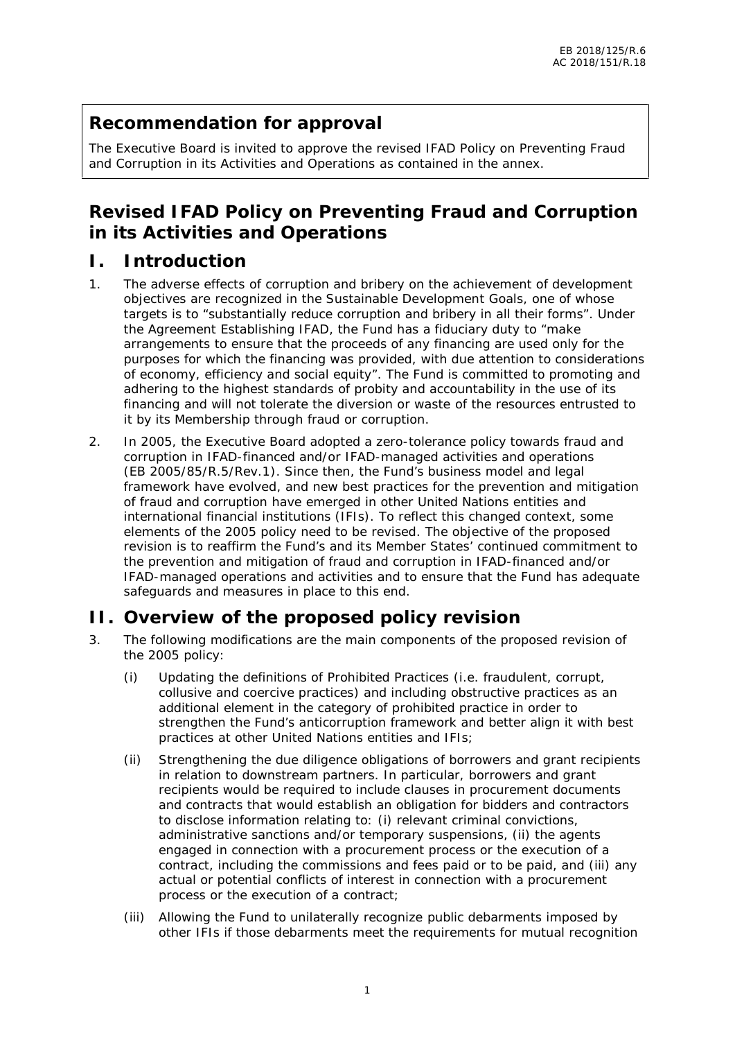# **Recommendation for approval**

The Executive Board is invited to approve the revised IFAD Policy on Preventing Fraud and Corruption in its Activities and Operations as contained in the annex.

# **Revised IFAD Policy on Preventing Fraud and Corruption in its Activities and Operations**

#### **I. Introduction**

- 1. The adverse effects of corruption and bribery on the achievement of development objectives are recognized in the Sustainable Development Goals, one of whose targets is to "substantially reduce corruption and bribery in all their forms". Under the Agreement Establishing IFAD, the Fund has a fiduciary duty to "make arrangements to ensure that the proceeds of any financing are used only for the purposes for which the financing was provided, with due attention to considerations of economy, efficiency and social equity". The Fund is committed to promoting and adhering to the highest standards of probity and accountability in the use of its financing and will not tolerate the diversion or waste of the resources entrusted to it by its Membership through fraud or corruption.
- 2. In 2005, the Executive Board adopted a zero-tolerance policy towards fraud and corruption in IFAD-financed and/or IFAD-managed activities and operations (EB 2005/85/R.5/Rev.1). Since then, the Fund's business model and legal framework have evolved, and new best practices for the prevention and mitigation of fraud and corruption have emerged in other United Nations entities and international financial institutions (IFIs). To reflect this changed context, some elements of the 2005 policy need to be revised. The objective of the proposed revision is to reaffirm the Fund's and its Member States' continued commitment to the prevention and mitigation of fraud and corruption in IFAD-financed and/or IFAD-managed operations and activities and to ensure that the Fund has adequate safeguards and measures in place to this end.

# **II. Overview of the proposed policy revision**

- 3. The following modifications are the main components of the proposed revision of the 2005 policy:
	- (i) Updating the definitions of Prohibited Practices (i.e. fraudulent, corrupt, collusive and coercive practices) and including obstructive practices as an additional element in the category of prohibited practice in order to strengthen the Fund's anticorruption framework and better align it with best practices at other United Nations entities and IFIs;
	- (ii) Strengthening the due diligence obligations of borrowers and grant recipients in relation to downstream partners. In particular, borrowers and grant recipients would be required to include clauses in procurement documents and contracts that would establish an obligation for bidders and contractors to disclose information relating to: (i) relevant criminal convictions, administrative sanctions and/or temporary suspensions, (ii) the agents engaged in connection with a procurement process or the execution of a contract, including the commissions and fees paid or to be paid, and (iii) any actual or potential conflicts of interest in connection with a procurement process or the execution of a contract;
	- (iii) Allowing the Fund to unilaterally recognize public debarments imposed by other IFIs if those debarments meet the requirements for mutual recognition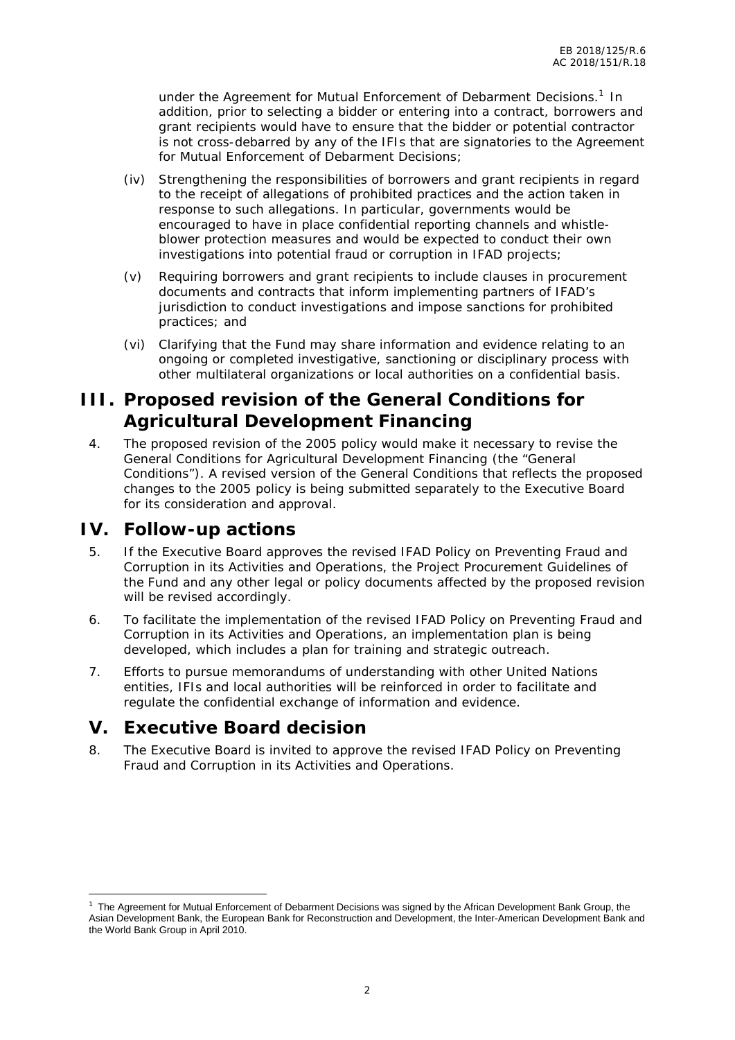under the Agreement for Mutual Enforcement of Debarment Decisions.<sup>1</sup> In addition, prior to selecting a bidder or entering into a contract, borrowers and grant recipients would have to ensure that the bidder or potential contractor is not cross-debarred by any of the IFIs that are signatories to the Agreement for Mutual Enforcement of Debarment Decisions;

- (iv) Strengthening the responsibilities of borrowers and grant recipients in regard to the receipt of allegations of prohibited practices and the action taken in response to such allegations. In particular, governments would be encouraged to have in place confidential reporting channels and whistle blower protection measures and would be expected to conduct their own investigations into potential fraud or corruption in IFAD projects;
- (v) Requiring borrowers and grant recipients to include clauses in procurement documents and contracts that inform implementing partners of IFAD's jurisdiction to conduct investigations and impose sanctions for prohibited practices; and
- (vi) Clarifying that the Fund may share information and evidence relating to an ongoing or completed investigative, sanctioning or disciplinary process with other multilateral organizations or local authorities on a confidential basis.

# **III. Proposed revision of the General Conditions for Agricultural Development Financing**

4. The proposed revision of the 2005 policy would make it necessary to revise the General Conditions for Agricultural Development Financing (the "General Conditions"). A revised version of the General Conditions that reflects the proposed changes to the 2005 policy is being submitted separately to the Executive Board for its consideration and approval.

#### **IV. Follow-up actions**

- 5. If the Executive Board approves the revised IFAD Policy on Preventing Fraud and Corruption in its Activities and Operations, the Project Procurement Guidelines of the Fund and any other legal or policy documents affected by the proposed revision will be revised accordingly.
- 6. To facilitate the implementation of the revised IFAD Policy on Preventing Fraud and Corruption in its Activities and Operations, an implementation plan is being developed, which includes a plan for training and strategic outreach.
- 7. Efforts to pursue memorandums of understanding with other United Nations entities, IFIs and local authorities will be reinforced in order to facilitate and regulate the confidential exchange of information and evidence.

#### **V. Executive Board decision**

8. The Executive Board is invited to approve the revised IFAD Policy on Preventing Fraud and Corruption in its Activities and Operations.

 $1$  The Agreement for Mutual Enforcement of Debarment Decisions was signed by the African Development Bank Group, the Asian Development Bank, the European Bank for Reconstruction and Development, the Inter-American Development Bank and the World Bank Group in April 2010.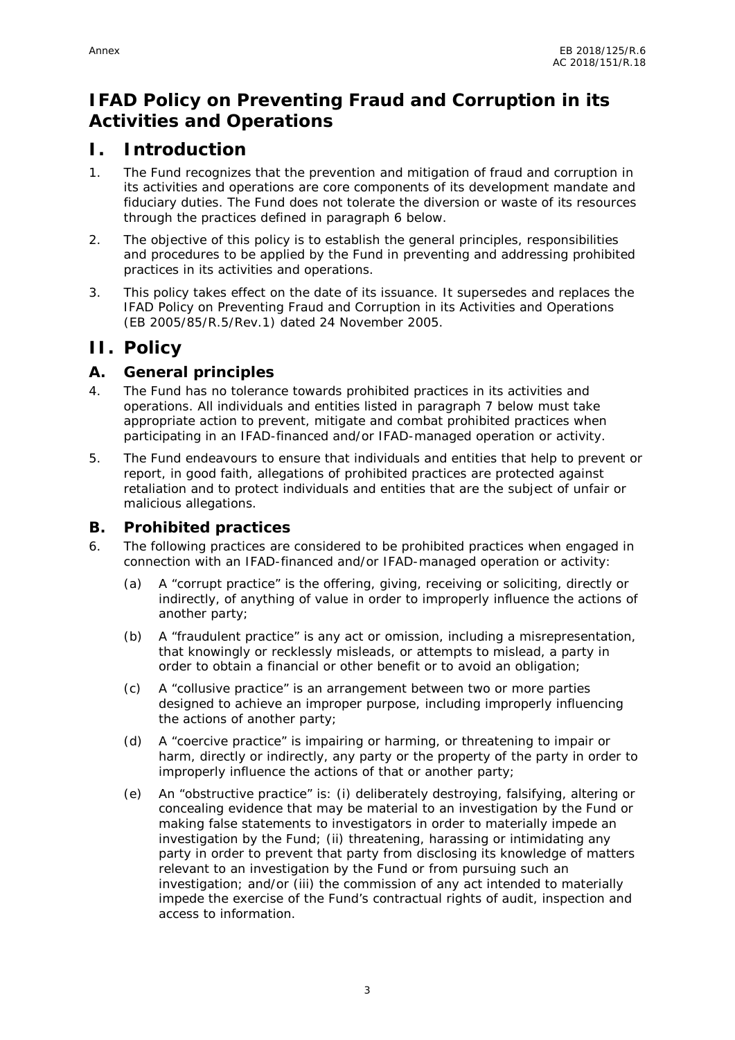# **IFAD Policy on Preventing Fraud and Corruption in its Activities and Operations**

### **I. Introduction**

- 1. The Fund recognizes that the prevention and mitigation of fraud and corruption in its activities and operations are core components of its development mandate and fiduciary duties. The Fund does not tolerate the diversion or waste of its resources through the practices defined in paragraph 6 below.
- 2. The objective of this policy is to establish the general principles, responsibilities and procedures to be applied by the Fund in preventing and addressing prohibited practices in its activities and operations.
- 3. This policy takes effect on the date of its issuance. It supersedes and replaces the IFAD Policy on Preventing Fraud and Corruption in its Activities and Operations (EB 2005/85/R.5/Rev.1) dated 24 November 2005.

#### **II. Policy**

- **A. General principles**
- 4. The Fund has no tolerance towards prohibited practices in its activities and operations. All individuals and entities listed in paragraph 7 below must take appropriate action to prevent, mitigate and combat prohibited practices when participating in an IFAD-financed and/or IFAD-managed operation or activity.
- 5. The Fund endeavours to ensure that individuals and entities that help to prevent or report, in good faith, allegations of prohibited practices are protected against retaliation and to protect individuals and entities that are the subject of unfair or malicious allegations.

#### **B. Prohibited practices**

- 6. The following practices are considered to be prohibited practices when engaged in connection with an IFAD-financed and/or IFAD-managed operation or activity:
	- (a) A "corrupt practice" is the offering, giving, receiving or soliciting, directly or indirectly, of anything of value in order to improperly influence the actions of another party;
	- (b) A "fraudulent practice" is any act or omission, including a misrepresentation, that knowingly or recklessly misleads, or attempts to mislead, a party in order to obtain a financial or other benefit or to avoid an obligation;
	- (c) A "collusive practice" is an arrangement between two or more parties designed to achieve an improper purpose, including improperly influencing the actions of another party;
	- (d) A "coercive practice" is impairing or harming, or threatening to impair or harm, directly or indirectly, any party or the property of the party in order to improperly influence the actions of that or another party;
	- (e) An "obstructive practice" is: (i) deliberately destroying, falsifying, altering or concealing evidence that may be material to an investigation by the Fund or making false statements to investigators in order to materially impede an investigation by the Fund; (ii) threatening, harassing or intimidating any party in order to prevent that party from disclosing its knowledge of matters relevant to an investigation by the Fund or from pursuing such an investigation; and/or (iii) the commission of any act intended to materially impede the exercise of the Fund's contractual rights of audit, inspection and access to information.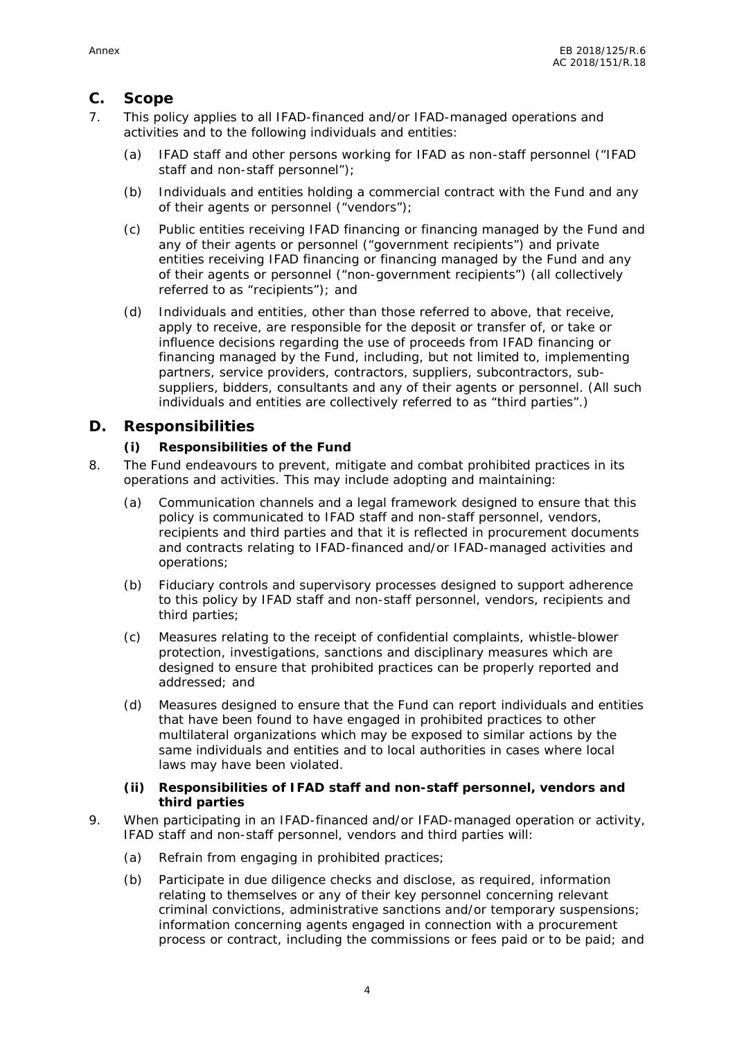#### **C. Scope**

- 7. This policy applies to all IFAD-financed and/or IFAD-managed operations and activities and to the following individuals and entities:
	- (a) IFAD staff and other persons working for IFAD as non-staff personnel ("IFAD staff and non-staff personnel");
	- (b) Individuals and entities holding a commercial contract with the Fund and any of their agents or personnel ("vendors");
	- (c) Public entities receiving IFAD financing or financing managed by the Fund and any of their agents or personnel ("government recipients") and private entities receiving IFAD financing or financing managed by the Fund and any of their agents or personnel ("non-government recipients") (all collectively referred to as "recipients"); and
	- (d) Individuals and entities, other than those referred to above, that receive, apply to receive, are responsible for the deposit or transfer of, or take or influence decisions regarding the use of proceeds from IFAD financing or financing managed by the Fund, including, but not limited to, implementing partners, service providers, contractors, suppliers, subcontractors, sub suppliers, bidders, consultants and any of their agents or personnel. (All such individuals and entities are collectively referred to as "third parties".)

#### **D. Responsibilities**

- **(i) Responsibilities of the Fund**
- 8. The Fund endeavours to prevent, mitigate and combat prohibited practices in its operations and activities. This may include adopting and maintaining:
	- (a) Communication channels and a legal framework designed to ensure that this policy is communicated to IFAD staff and non-staff personnel, vendors, recipients and third parties and that it is reflected in procurement documents and contracts relating to IFAD-financed and/or IFAD-managed activities and operations;
	- (b) Fiduciary controls and supervisory processes designed to support adherence to this policy by IFAD staff and non-staff personnel, vendors, recipients and third parties;
	- (c) Measures relating to the receipt of confidential complaints, whistle-blower protection, investigations, sanctions and disciplinary measures which are designed to ensure that prohibited practices can be properly reported and addressed; and
	- (d) Measures designed to ensure that the Fund can report individuals and entities that have been found to have engaged in prohibited practices to other multilateral organizations which may be exposed to similar actions by the same individuals and entities and to local authorities in cases where local laws may have been violated.
	- **(ii) Responsibilities of IFAD staff and non-staff personnel, vendors and third parties**
- 9. When participating in an IFAD-financed and/or IFAD-managed operation or activity, IFAD staff and non-staff personnel, vendors and third parties will:
	- (a) Refrain from engaging in prohibited practices;
	- (b) Participate in due diligence checks and disclose, as required, information relating to themselves or any of their key personnel concerning relevant criminal convictions, administrative sanctions and/or temporary suspensions; information concerning agents engaged in connection with a procurement process or contract, including the commissions or fees paid or to be paid; and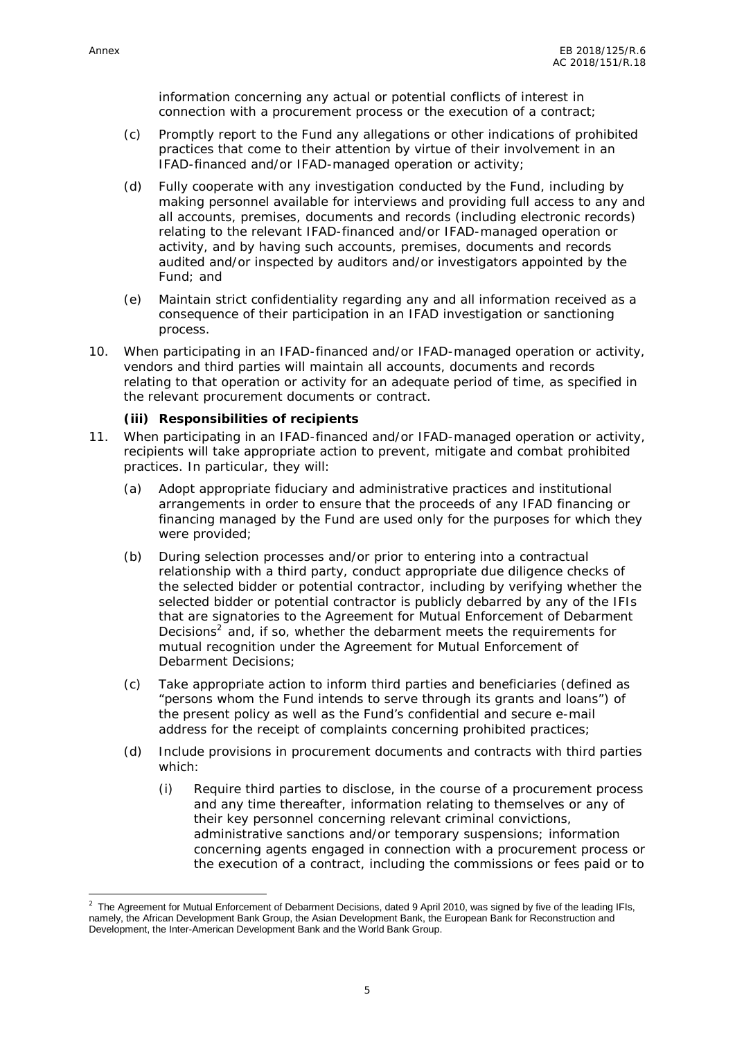information concerning any actual or potential conflicts of interest in connection with a procurement process or the execution of a contract;

- (c) Promptly report to the Fund any allegations or other indications of prohibited practices that come to their attention by virtue of their involvement in an IFAD-financed and/or IFAD-managed operation or activity;
- (d) Fully cooperate with any investigation conducted by the Fund, including by making personnel available for interviews and providing full access to any and all accounts, premises, documents and records (including electronic records) relating to the relevant IFAD-financed and/or IFAD-managed operation or activity, and by having such accounts, premises, documents and records audited and/or inspected by auditors and/or investigators appointed by the Fund; and
- (e) Maintain strict confidentiality regarding any and all information received as a consequence of their participation in an IFAD investigation or sanctioning process.
- 10. When participating in an IFAD-financed and/or IFAD-managed operation or activity, vendors and third parties will maintain all accounts, documents and records relating to that operation or activity for an adequate period of time, as specified in the relevant procurement documents or contract.
	- **(iii) Responsibilities of recipients**
- 11. When participating in an IFAD-financed and/or IFAD-managed operation or activity, recipients will take appropriate action to prevent, mitigate and combat prohibited practices. In particular, they will:
	- (a) Adopt appropriate fiduciary and administrative practices and institutional arrangements in order to ensure that the proceeds of any IFAD financing or financing managed by the Fund are used only for the purposes for which they were provided;
	- (b) During selection processes and/or prior to entering into a contractual relationship with a third party, conduct appropriate due diligence checks of the selected bidder or potential contractor, including by verifying whether the selected bidder or potential contractor is publicly debarred by any of the IFIs that are signatories to the Agreement for Mutual Enforcement of Debarment Decisions $<sup>2</sup>$  and, if so, whether the debarment meets the requirements for</sup> mutual recognition under the Agreement for Mutual Enforcement of Debarment Decisions;
	- (c) Take appropriate action to inform third parties and beneficiaries (defined as "persons whom the Fund intends to serve through its grants and loans") of the present policy as well as the Fund's confidential and secure e-mail address for the receipt of complaints concerning prohibited practices;
	- (d) Include provisions in procurement documents and contracts with third parties which:
		- (i) Require third parties to disclose, in the course of a procurement process and any time thereafter, information relating to themselves or any of their key personnel concerning relevant criminal convictions, administrative sanctions and/or temporary suspensions; information concerning agents engaged in connection with a procurement process or the execution of a contract, including the commissions or fees paid or to

<sup>&</sup>lt;sup>2</sup> The Agreement for Mutual Enforcement of Debarment Decisions, dated 9 April 2010, was signed by five of the leading IFIs, namely, the African Development Bank Group, the Asian Development Bank, the European Bank for Reconstruction and Development, the Inter-American Development Bank and the World Bank Group.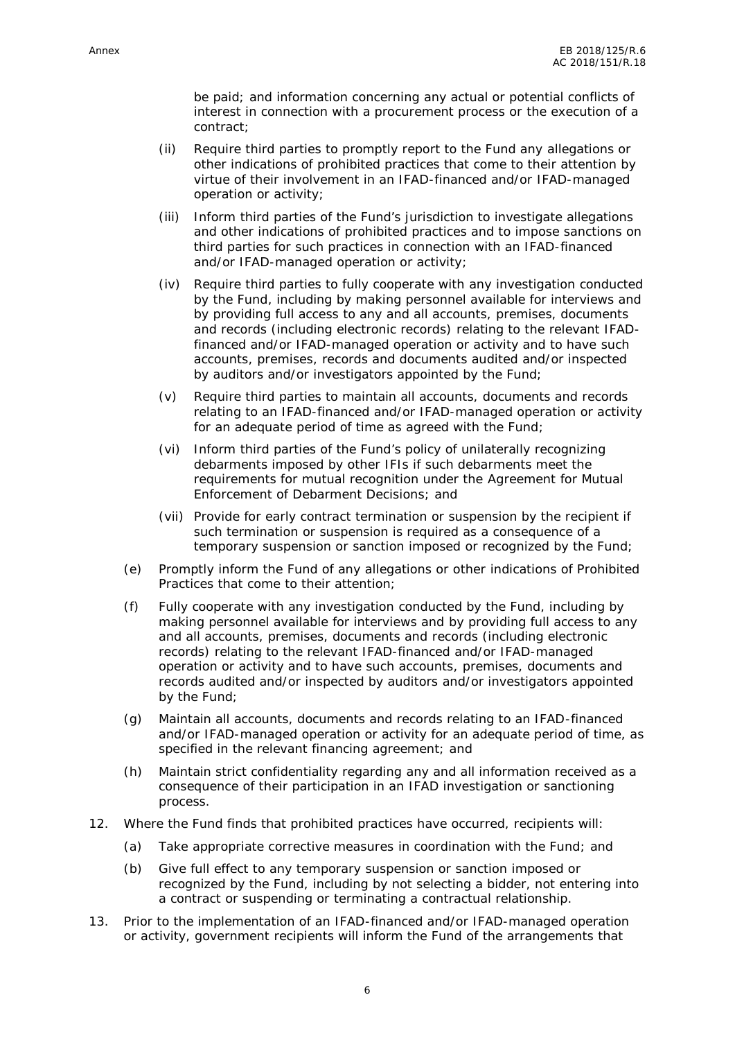be paid; and information concerning any actual or potential conflicts of interest in connection with a procurement process or the execution of a contract;

- (ii) Require third parties to promptly report to the Fund any allegations or other indications of prohibited practices that come to their attention by virtue of their involvement in an IFAD-financed and/or IFAD-managed operation or activity;
- (iii) Inform third parties of the Fund's jurisdiction to investigate allegations and other indications of prohibited practices and to impose sanctions on third parties for such practices in connection with an IFAD-financed and/or IFAD-managed operation or activity;
- (iv) Require third parties to fully cooperate with any investigation conducted by the Fund, including by making personnel available for interviews and by providing full access to any and all accounts, premises, documents and records (including electronic records) relating to the relevant IFADfinanced and/or IFAD-managed operation or activity and to have such accounts, premises, records and documents audited and/or inspected by auditors and/or investigators appointed by the Fund;
- (v) Require third parties to maintain all accounts, documents and records relating to an IFAD-financed and/or IFAD-managed operation or activity for an adequate period of time as agreed with the Fund;
- (vi) Inform third parties of the Fund's policy of unilaterally recognizing debarments imposed by other IFIs if such debarments meet the requirements for mutual recognition under the Agreement for Mutual Enforcement of Debarment Decisions; and
- (vii) Provide for early contract termination or suspension by the recipient if such termination or suspension is required as a consequence of a temporary suspension or sanction imposed or recognized by the Fund;
- (e) Promptly inform the Fund of any allegations or other indications of Prohibited Practices that come to their attention;
- (f) Fully cooperate with any investigation conducted by the Fund, including by making personnel available for interviews and by providing full access to any and all accounts, premises, documents and records (including electronic records) relating to the relevant IFAD-financed and/or IFAD-managed operation or activity and to have such accounts, premises, documents and records audited and/or inspected by auditors and/or investigators appointed by the Fund;
- (g) Maintain all accounts, documents and records relating to an IFAD-financed and/or IFAD-managed operation or activity for an adequate period of time, as specified in the relevant financing agreement; and
- (h) Maintain strict confidentiality regarding any and all information received as a consequence of their participation in an IFAD investigation or sanctioning process.
- 12. Where the Fund finds that prohibited practices have occurred, recipients will:
	- (a) Take appropriate corrective measures in coordination with the Fund; and
	- (b) Give full effect to any temporary suspension or sanction imposed or recognized by the Fund, including by not selecting a bidder, not entering into a contract or suspending or terminating a contractual relationship.
- 13. Prior to the implementation of an IFAD-financed and/or IFAD-managed operation or activity, government recipients will inform the Fund of the arrangements that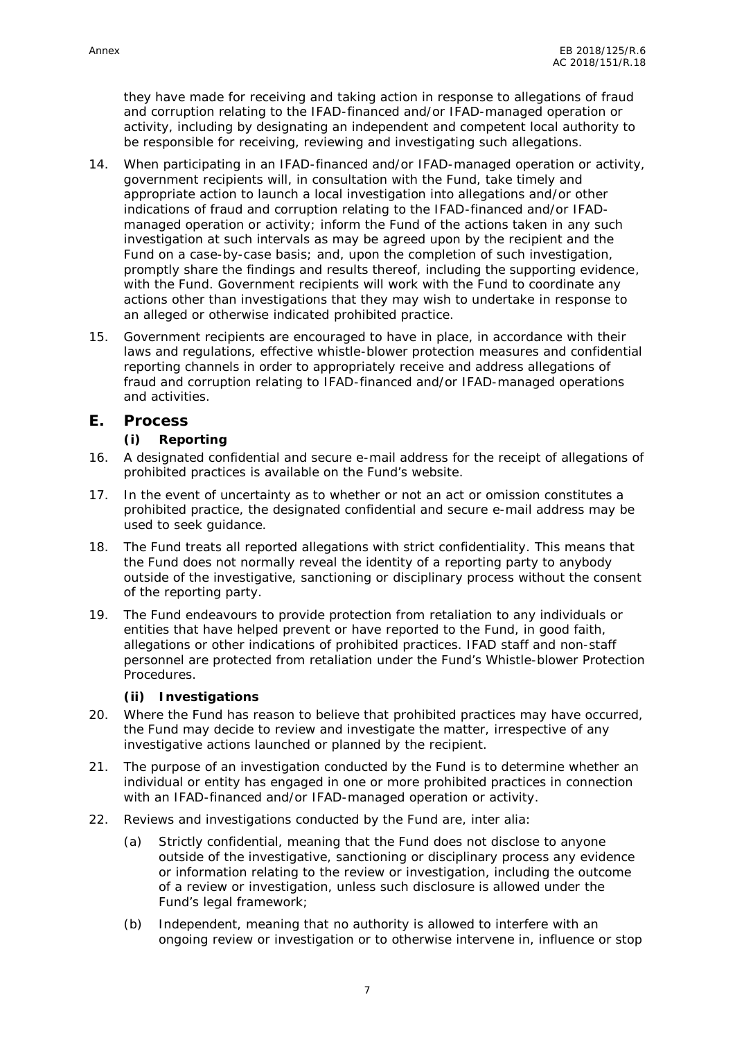they have made for receiving and taking action in response to allegations of fraud and corruption relating to the IFAD-financed and/or IFAD-managed operation or activity, including by designating an independent and competent local authority to be responsible for receiving, reviewing and investigating such allegations.

- 14. When participating in an IFAD-financed and/or IFAD-managed operation or activity, government recipients will, in consultation with the Fund, take timely and appropriate action to launch a local investigation into allegations and/or other indications of fraud and corruption relating to the IFAD-financed and/or IFAD managed operation or activity; inform the Fund of the actions taken in any such investigation at such intervals as may be agreed upon by the recipient and the Fund on a case-by-case basis; and, upon the completion of such investigation, promptly share the findings and results thereof, including the supporting evidence, with the Fund. Government recipients will work with the Fund to coordinate any actions other than investigations that they may wish to undertake in response to an alleged or otherwise indicated prohibited practice.
- 15. Government recipients are encouraged to have in place, in accordance with their laws and regulations, effective whistle-blower protection measures and confidential reporting channels in order to appropriately receive and address allegations of fraud and corruption relating to IFAD-financed and/or IFAD-managed operations and activities.
- **E. Process**
	- **(i) Reporting**
- 16. A designated confidential and secure e-mail address for the receipt of allegations of prohibited practices is available on the Fund's website.
- 17. In the event of uncertainty as to whether or not an act or omission constitutes a prohibited practice, the designated confidential and secure e-mail address may be used to seek guidance.
- 18. The Fund treats all reported allegations with strict confidentiality. This means that the Fund does not normally reveal the identity of a reporting party to anybody outside of the investigative, sanctioning or disciplinary process without the consent of the reporting party.
- 19. The Fund endeavours to provide protection from retaliation to any individuals or entities that have helped prevent or have reported to the Fund, in good faith, allegations or other indications of prohibited practices. IFAD staff and non-staff personnel are protected from retaliation under the Fund's Whistle-blower Protection Procedures.
	- **(ii) Investigations**
- 20. Where the Fund has reason to believe that prohibited practices may have occurred, the Fund may decide to review and investigate the matter, irrespective of any investigative actions launched or planned by the recipient.
- 21. The purpose of an investigation conducted by the Fund is to determine whether an individual or entity has engaged in one or more prohibited practices in connection with an IFAD-financed and/or IFAD-managed operation or activity.
- 22. Reviews and investigations conducted by the Fund are, inter alia:
	- (a) Strictly confidential, meaning that the Fund does not disclose to anyone outside of the investigative, sanctioning or disciplinary process any evidence or information relating to the review or investigation, including the outcome of a review or investigation, unless such disclosure is allowed under the Fund's legal framework;
	- (b) Independent, meaning that no authority is allowed to interfere with an ongoing review or investigation or to otherwise intervene in, influence or stop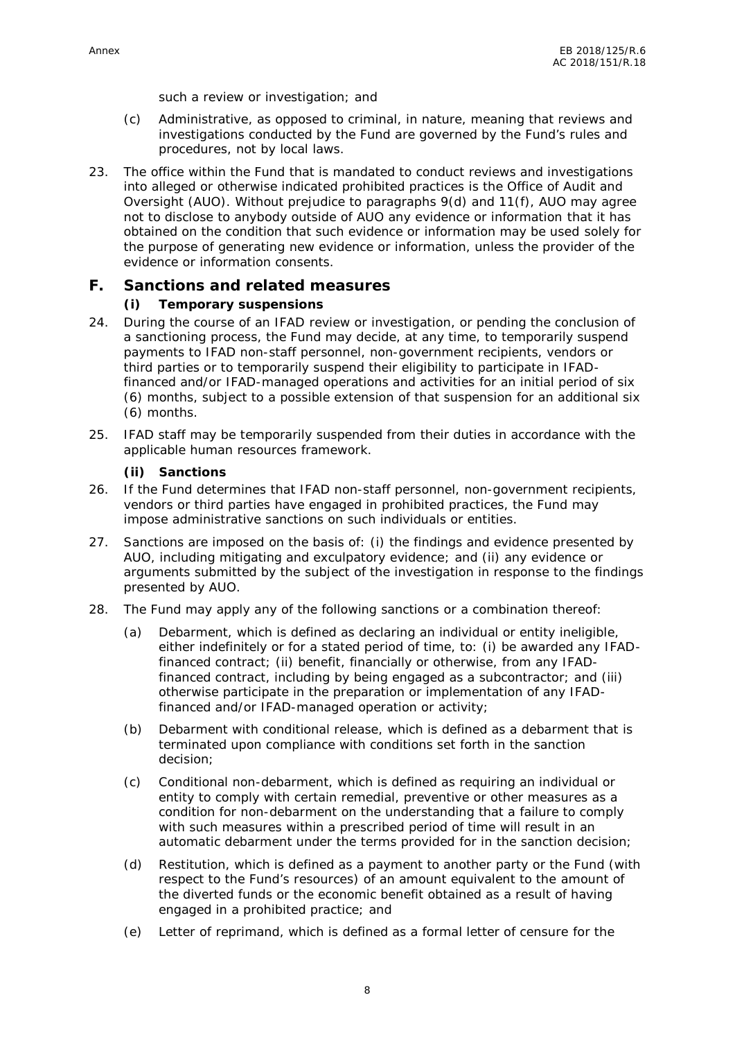such a review or investigation; and

- (c) Administrative, as opposed to criminal, in nature, meaning that reviews and investigations conducted by the Fund are governed by the Fund's rules and procedures, not by local laws.
- 23. The office within the Fund that is mandated to conduct reviews and investigations into alleged or otherwise indicated prohibited practices is the Office of Audit and Oversight (AUO). Without prejudice to paragraphs 9(d) and 11(f), AUO may agree not to disclose to anybody outside of AUO any evidence or information that it has obtained on the condition that such evidence or information may be used solely for the purpose of generating new evidence or information, unless the provider of the evidence or information consents.

#### **F. Sanctions and related measures**

- **(i) Temporary suspensions**
- 24. During the course of an IFAD review or investigation, or pending the conclusion of a sanctioning process, the Fund may decide, at any time, to temporarily suspend payments to IFAD non-staff personnel, non-government recipients, vendors or third parties or to temporarily suspend their eligibility to participate in IFADfinanced and/or IFAD-managed operations and activities for an initial period of six (6) months, subject to a possible extension of that suspension for an additional six (6) months.
- 25. IFAD staff may be temporarily suspended from their duties in accordance with the applicable human resources framework.
	- **(ii) Sanctions**
- 26. If the Fund determines that IFAD non-staff personnel, non-government recipients, vendors or third parties have engaged in prohibited practices, the Fund may impose administrative sanctions on such individuals or entities.
- 27. Sanctions are imposed on the basis of: (i) the findings and evidence presented by AUO, including mitigating and exculpatory evidence; and (ii) any evidence or arguments submitted by the subject of the investigation in response to the findings presented by AUO.
- 28. The Fund may apply any of the following sanctions or a combination thereof:
	- (a) Debarment, which is defined as declaring an individual or entity ineligible, either indefinitely or for a stated period of time, to: (i) be awarded any IFADfinanced contract; (ii) benefit, financially or otherwise, from any IFADfinanced contract, including by being engaged as a subcontractor; and (iii) otherwise participate in the preparation or implementation of any IFADfinanced and/or IFAD-managed operation or activity;
	- (b) Debarment with conditional release, which is defined as a debarment that is terminated upon compliance with conditions set forth in the sanction decision;
	- (c) Conditional non-debarment, which is defined as requiring an individual or entity to comply with certain remedial, preventive or other measures as a condition for non-debarment on the understanding that a failure to comply with such measures within a prescribed period of time will result in an automatic debarment under the terms provided for in the sanction decision;
	- (d) Restitution, which is defined as a payment to another party or the Fund (with respect to the Fund's resources) of an amount equivalent to the amount of the diverted funds or the economic benefit obtained as a result of having engaged in a prohibited practice; and
	- (e) Letter of reprimand, which is defined as a formal letter of censure for the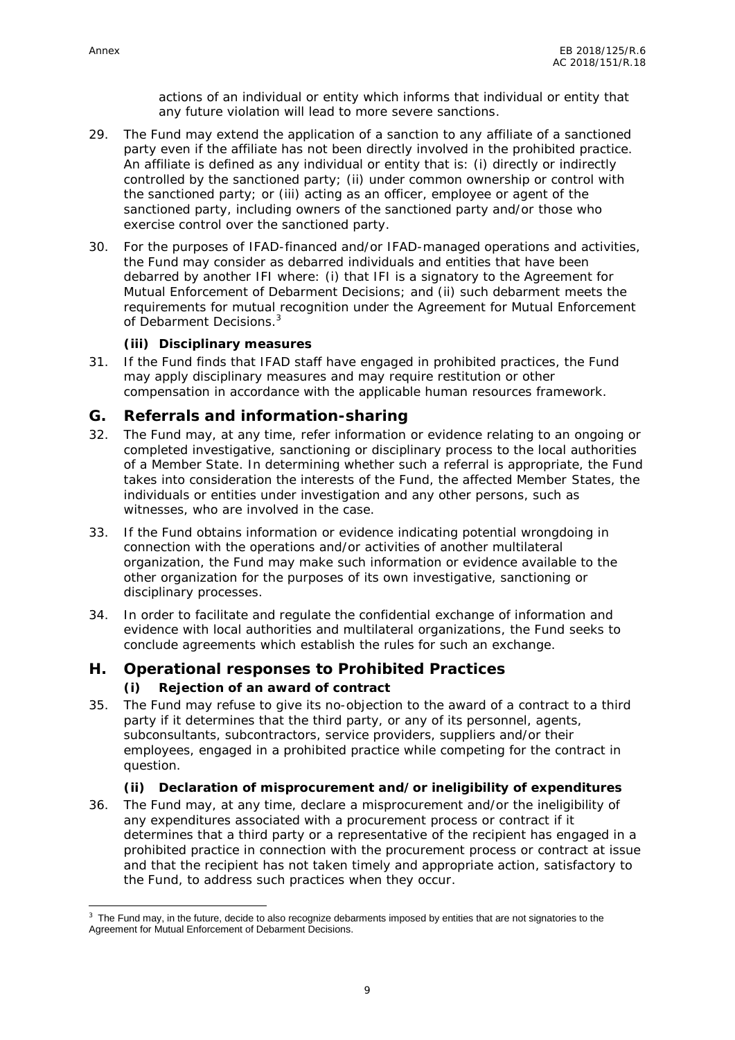actions of an individual or entity which informs that individual or entity that any future violation will lead to more severe sanctions.

- 29. The Fund may extend the application of a sanction to any affiliate of a sanctioned party even if the affiliate has not been directly involved in the prohibited practice. An affiliate is defined as any individual or entity that is: (i) directly or indirectly controlled by the sanctioned party; (ii) under common ownership or control with the sanctioned party; or (iii) acting as an officer, employee or agent of the sanctioned party, including owners of the sanctioned party and/or those who exercise control over the sanctioned party.
- 30. For the purposes of IFAD-financed and/or IFAD-managed operations and activities, the Fund may consider as debarred individuals and entities that have been debarred by another IFI where: (i) that IFI is a signatory to the Agreement for Mutual Enforcement of Debarment Decisions; and (ii) such debarment meets the requirements for mutual recognition under the Agreement for Mutual Enforcement of Debarment Decisions.<sup>3</sup>

**(iii) Disciplinary measures**

- 31. If the Fund finds that IFAD staff have engaged in prohibited practices, the Fund may apply disciplinary measures and may require restitution or other compensation in accordance with the applicable human resources framework.
- **G. Referrals and information-sharing**
- 32. The Fund may, at any time, refer information or evidence relating to an ongoing or completed investigative, sanctioning or disciplinary process to the local authorities of a Member State. In determining whether such a referral is appropriate, the Fund takes into consideration the interests of the Fund, the affected Member States, the individuals or entities under investigation and any other persons, such as witnesses, who are involved in the case.
- 33. If the Fund obtains information or evidence indicating potential wrongdoing in connection with the operations and/or activities of another multilateral organization, the Fund may make such information or evidence available to the other organization for the purposes of its own investigative, sanctioning or disciplinary processes.
- 34. In order to facilitate and regulate the confidential exchange of information and evidence with local authorities and multilateral organizations, the Fund seeks to conclude agreements which establish the rules for such an exchange.

#### **H. Operational responses to Prohibited Practices**

**(i) Rejection of an award of contract**

- 35. The Fund may refuse to give its no-objection to the award of a contract to a third party if it determines that the third party, or any of its personnel, agents, subconsultants, subcontractors, service providers, suppliers and/or their employees, engaged in a prohibited practice while competing for the contract in question.
	- **(ii) Declaration of misprocurement and/or ineligibility of expenditures**
- 36. The Fund may, at any time, declare a misprocurement and/or the ineligibility of any expenditures associated with a procurement process or contract if it determines that a third party or a representative of the recipient has engaged in a prohibited practice in connection with the procurement process or contract at issue and that the recipient has not taken timely and appropriate action, satisfactory to the Fund, to address such practices when they occur.

 $3$  The Fund may, in the future, decide to also recognize debarments imposed by entities that are not signatories to the Agreement for Mutual Enforcement of Debarment Decisions.